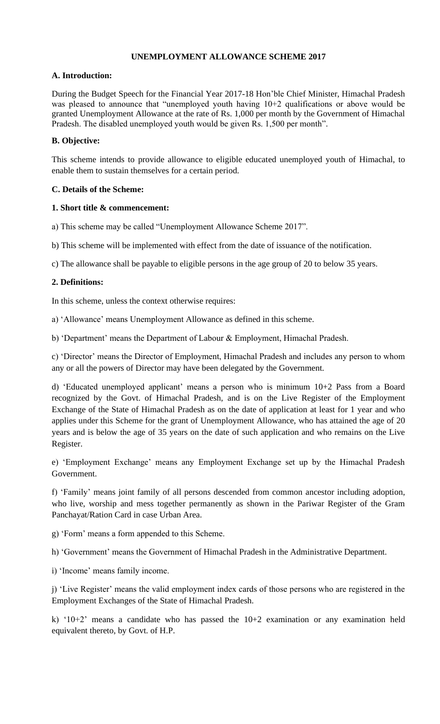## **UNEMPLOYMENT ALLOWANCE SCHEME 2017**

#### **A. Introduction:**

During the Budget Speech for the Financial Year 2017-18 Hon'ble Chief Minister, Himachal Pradesh was pleased to announce that "unemployed youth having 10+2 qualifications or above would be granted Unemployment Allowance at the rate of Rs. 1,000 per month by the Government of Himachal Pradesh. The disabled unemployed youth would be given Rs. 1,500 per month".

## **B. Objective:**

This scheme intends to provide allowance to eligible educated unemployed youth of Himachal, to enable them to sustain themselves for a certain period.

#### **C. Details of the Scheme:**

#### **1. Short title & commencement:**

a) This scheme may be called "Unemployment Allowance Scheme 2017".

b) This scheme will be implemented with effect from the date of issuance of the notification.

c) The allowance shall be payable to eligible persons in the age group of 20 to below 35 years.

#### **2. Definitions:**

In this scheme, unless the context otherwise requires:

a) 'Allowance' means Unemployment Allowance as defined in this scheme.

b) 'Department' means the Department of Labour & Employment, Himachal Pradesh.

c) 'Director' means the Director of Employment, Himachal Pradesh and includes any person to whom any or all the powers of Director may have been delegated by the Government.

d) 'Educated unemployed applicant' means a person who is minimum 10+2 Pass from a Board recognized by the Govt. of Himachal Pradesh, and is on the Live Register of the Employment Exchange of the State of Himachal Pradesh as on the date of application at least for 1 year and who applies under this Scheme for the grant of Unemployment Allowance, who has attained the age of 20 years and is below the age of 35 years on the date of such application and who remains on the Live Register.

e) 'Employment Exchange' means any Employment Exchange set up by the Himachal Pradesh Government.

f) 'Family' means joint family of all persons descended from common ancestor including adoption, who live, worship and mess together permanently as shown in the Pariwar Register of the Gram Panchayat/Ration Card in case Urban Area.

g) 'Form' means a form appended to this Scheme.

h) 'Government' means the Government of Himachal Pradesh in the Administrative Department.

i) 'Income' means family income.

j) 'Live Register' means the valid employment index cards of those persons who are registered in the Employment Exchanges of the State of Himachal Pradesh.

k) '10+2' means a candidate who has passed the 10+2 examination or any examination held equivalent thereto, by Govt. of H.P.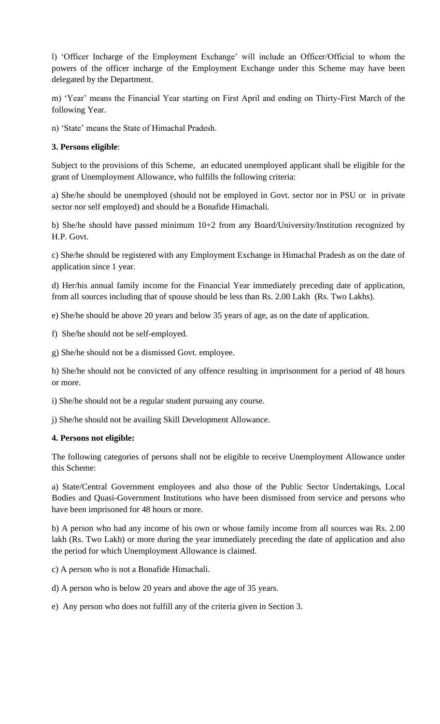l) 'Officer Incharge of the Employment Exchange' will include an Officer/Official to whom the powers of the officer incharge of the Employment Exchange under this Scheme may have been delegated by the Department.

m) 'Year' means the Financial Year starting on First April and ending on Thirty-First March of the following Year.

n) 'State' means the State of Himachal Pradesh.

#### **3. Persons eligible**:

Subject to the provisions of this Scheme, an educated unemployed applicant shall be eligible for the grant of Unemployment Allowance, who fulfills the following criteria:

a) She/he should be unemployed (should not be employed in Govt. sector nor in PSU or in private sector nor self employed) and should be a Bonafide Himachali.

b) She/he should have passed minimum 10+2 from any Board/University/Institution recognized by H.P. Govt.

c) She/he should be registered with any Employment Exchange in Himachal Pradesh as on the date of application since 1 year.

d) Her/his annual family income for the Financial Year immediately preceding date of application, from all sources including that of spouse should be less than Rs. 2.00 Lakh (Rs. Two Lakhs).

e) She/he should be above 20 years and below 35 years of age, as on the date of application.

f) She/he should not be self-employed.

g) She/he should not be a dismissed Govt. employee.

h) She/he should not be convicted of any offence resulting in imprisonment for a period of 48 hours or more.

i) She/he should not be a regular student pursuing any course.

j) She/he should not be availing Skill Development Allowance.

#### **4. Persons not eligible:**

The following categories of persons shall not be eligible to receive Unemployment Allowance under this Scheme:

a) State/Central Government employees and also those of the Public Sector Undertakings, Local Bodies and Quasi-Government Institutions who have been dismissed from service and persons who have been imprisoned for 48 hours or more.

b) A person who had any income of his own or whose family income from all sources was Rs. 2.00 lakh (Rs. Two Lakh) or more during the year immediately preceding the date of application and also the period for which Unemployment Allowance is claimed.

c) A person who is not a Bonafide Himachali.

d) A person who is below 20 years and above the age of 35 years.

e) Any person who does not fulfill any of the criteria given in Section 3.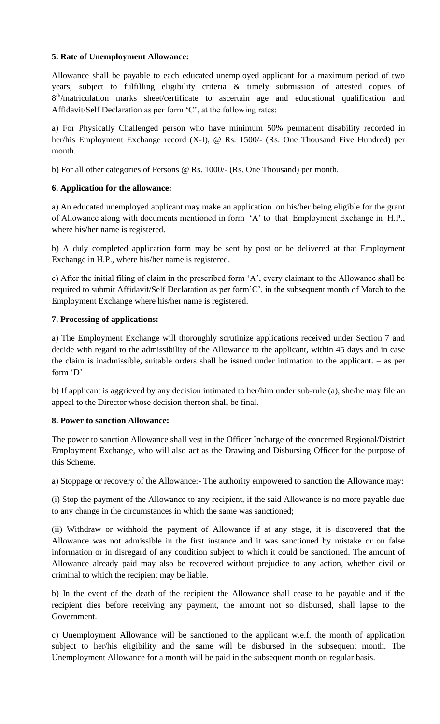## **5. Rate of Unemployment Allowance:**

Allowance shall be payable to each educated unemployed applicant for a maximum period of two years; subject to fulfilling eligibility criteria & timely submission of attested copies of 8<sup>th</sup>/matriculation marks sheet/certificate to ascertain age and educational qualification and Affidavit/Self Declaration as per form 'C', at the following rates:

a) For Physically Challenged person who have minimum 50% permanent disability recorded in her/his Employment Exchange record (X-I), @ Rs. 1500/- (Rs. One Thousand Five Hundred) per month.

b) For all other categories of Persons @ Rs. 1000/- (Rs. One Thousand) per month.

## **6. Application for the allowance:**

a) An educated unemployed applicant may make an application on his/her being eligible for the grant of Allowance along with documents mentioned in form 'A' to that Employment Exchange in H.P., where his/her name is registered.

b) A duly completed application form may be sent by post or be delivered at that Employment Exchange in H.P., where his/her name is registered.

c) After the initial filing of claim in the prescribed form 'A', every claimant to the Allowance shall be required to submit Affidavit/Self Declaration as per form'C', in the subsequent month of March to the Employment Exchange where his/her name is registered.

## **7. Processing of applications:**

a) The Employment Exchange will thoroughly scrutinize applications received under Section 7 and decide with regard to the admissibility of the Allowance to the applicant, within 45 days and in case the claim is inadmissible, suitable orders shall be issued under intimation to the applicant. – as per form 'D'

b) If applicant is aggrieved by any decision intimated to her/him under sub-rule (a), she/he may file an appeal to the Director whose decision thereon shall be final.

## **8. Power to sanction Allowance:**

The power to sanction Allowance shall vest in the Officer Incharge of the concerned Regional/District Employment Exchange, who will also act as the Drawing and Disbursing Officer for the purpose of this Scheme.

a) Stoppage or recovery of the Allowance:- The authority empowered to sanction the Allowance may:

(i) Stop the payment of the Allowance to any recipient, if the said Allowance is no more payable due to any change in the circumstances in which the same was sanctioned;

(ii) Withdraw or withhold the payment of Allowance if at any stage, it is discovered that the Allowance was not admissible in the first instance and it was sanctioned by mistake or on false information or in disregard of any condition subject to which it could be sanctioned. The amount of Allowance already paid may also be recovered without prejudice to any action, whether civil or criminal to which the recipient may be liable.

b) In the event of the death of the recipient the Allowance shall cease to be payable and if the recipient dies before receiving any payment, the amount not so disbursed, shall lapse to the Government.

c) Unemployment Allowance will be sanctioned to the applicant w.e.f. the month of application subject to her/his eligibility and the same will be disbursed in the subsequent month. The Unemployment Allowance for a month will be paid in the subsequent month on regular basis.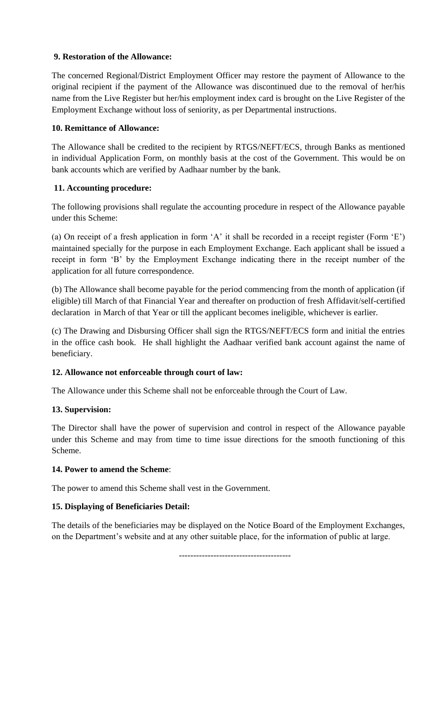## **9. Restoration of the Allowance:**

The concerned Regional/District Employment Officer may restore the payment of Allowance to the original recipient if the payment of the Allowance was discontinued due to the removal of her/his name from the Live Register but her/his employment index card is brought on the Live Register of the Employment Exchange without loss of seniority, as per Departmental instructions.

## **10. Remittance of Allowance:**

The Allowance shall be credited to the recipient by RTGS/NEFT/ECS, through Banks as mentioned in individual Application Form, on monthly basis at the cost of the Government. This would be on bank accounts which are verified by Aadhaar number by the bank.

## **11. Accounting procedure:**

The following provisions shall regulate the accounting procedure in respect of the Allowance payable under this Scheme:

(a) On receipt of a fresh application in form 'A' it shall be recorded in a receipt register (Form 'E') maintained specially for the purpose in each Employment Exchange. Each applicant shall be issued a receipt in form 'B' by the Employment Exchange indicating there in the receipt number of the application for all future correspondence.

(b) The Allowance shall become payable for the period commencing from the month of application (if eligible) till March of that Financial Year and thereafter on production of fresh Affidavit/self-certified declaration in March of that Year or till the applicant becomes ineligible, whichever is earlier.

(c) The Drawing and Disbursing Officer shall sign the RTGS/NEFT/ECS form and initial the entries in the office cash book. He shall highlight the Aadhaar verified bank account against the name of beneficiary.

## **12. Allowance not enforceable through court of law:**

The Allowance under this Scheme shall not be enforceable through the Court of Law.

## **13. Supervision:**

The Director shall have the power of supervision and control in respect of the Allowance payable under this Scheme and may from time to time issue directions for the smooth functioning of this Scheme.

## **14. Power to amend the Scheme**:

The power to amend this Scheme shall vest in the Government.

## **15. Displaying of Beneficiaries Detail:**

The details of the beneficiaries may be displayed on the Notice Board of the Employment Exchanges, on the Department's website and at any other suitable place, for the information of public at large.

---------------------------------------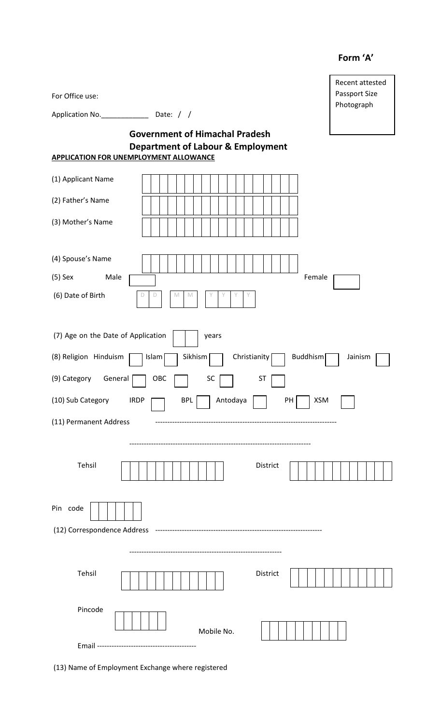## **Form 'A'**

| For Office use:                                                                               | Recent attested<br>Passport Size<br>Photograph |
|-----------------------------------------------------------------------------------------------|------------------------------------------------|
|                                                                                               |                                                |
| <b>Government of Himachal Pradesh</b>                                                         |                                                |
| <b>Department of Labour &amp; Employment</b><br><b>APPLICATION FOR UNEMPLOYMENT ALLOWANCE</b> |                                                |
| (1) Applicant Name                                                                            |                                                |
| (2) Father's Name                                                                             |                                                |
| (3) Mother's Name                                                                             |                                                |
| (4) Spouse's Name                                                                             |                                                |
| $(5)$ Sex<br>Male<br>Female                                                                   |                                                |
| (6) Date of Birth<br>D<br>M<br>M<br>D                                                         |                                                |
| (7) Age on the Date of Application<br>years                                                   |                                                |
| (8) Religion Hinduism<br>Christianity<br>Buddhism<br>Sikhism<br>Islam                         | Jainism                                        |
| (9) Category<br>General<br>OBC<br><b>SC</b><br>ST                                             |                                                |
| (10) Sub Category<br>Antodaya<br><b>XSM</b><br><b>IRDP</b><br><b>BPL</b><br>PH                |                                                |
| (11) Permanent Address                                                                        |                                                |
| Tehsil<br>District                                                                            |                                                |
|                                                                                               |                                                |
| Pin code                                                                                      |                                                |
|                                                                                               |                                                |
|                                                                                               |                                                |
| Tehsil<br>District                                                                            |                                                |
| Pincode<br>Mobile No.                                                                         |                                                |
|                                                                                               |                                                |

(13) Name of Employment Exchange where registered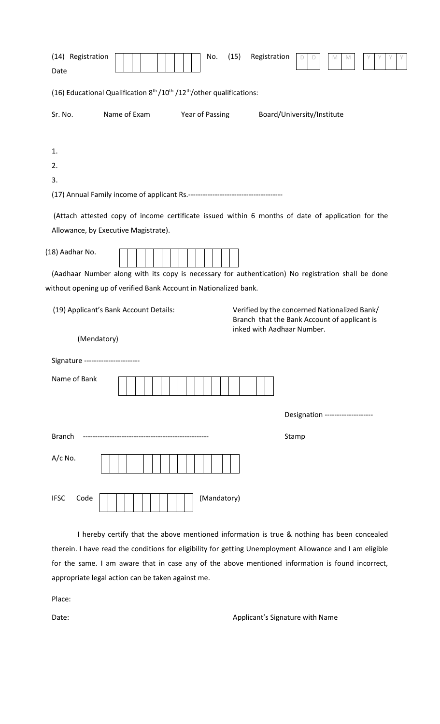| (14) Registration<br>(15)<br>Registration<br>No.<br>Date                                                  | Y.<br>M<br>M                                                                                                               |
|-----------------------------------------------------------------------------------------------------------|----------------------------------------------------------------------------------------------------------------------------|
| (16) Educational Qualification 8 <sup>th</sup> /10 <sup>th</sup> /12 <sup>th</sup> /other qualifications: |                                                                                                                            |
| Name of Exam<br>Sr. No.<br>Year of Passing                                                                | Board/University/Institute                                                                                                 |
|                                                                                                           |                                                                                                                            |
| 1.                                                                                                        |                                                                                                                            |
| 2.                                                                                                        |                                                                                                                            |
| 3.                                                                                                        |                                                                                                                            |
|                                                                                                           |                                                                                                                            |
| (Attach attested copy of income certificate issued within 6 months of date of application for the         |                                                                                                                            |
| Allowance, by Executive Magistrate).                                                                      |                                                                                                                            |
|                                                                                                           |                                                                                                                            |
| (18) Aadhar No.                                                                                           |                                                                                                                            |
| (Aadhaar Number along with its copy is necessary for authentication) No registration shall be done        |                                                                                                                            |
| without opening up of verified Bank Account in Nationalized bank.                                         |                                                                                                                            |
| (19) Applicant's Bank Account Details:                                                                    | Verified by the concerned Nationalized Bank/<br>Branch that the Bank Account of applicant is<br>inked with Aadhaar Number. |
| (Mendatory)                                                                                               |                                                                                                                            |
| Signature ----------------------                                                                          |                                                                                                                            |
| Name of Bank                                                                                              |                                                                                                                            |
|                                                                                                           | Designation -------------------                                                                                            |
| <b>Branch</b>                                                                                             | Stamp                                                                                                                      |
| $A/c$ No.                                                                                                 |                                                                                                                            |
| (Mandatory)<br><b>IFSC</b><br>Code                                                                        |                                                                                                                            |
|                                                                                                           |                                                                                                                            |

I hereby certify that the above mentioned information is true & nothing has been concealed therein. I have read the conditions for eligibility for getting Unemployment Allowance and I am eligible for the same. I am aware that in case any of the above mentioned information is found incorrect, appropriate legal action can be taken against me.

Place:

Date: Case of the Caucasian Contractor Applicant's Signature with Name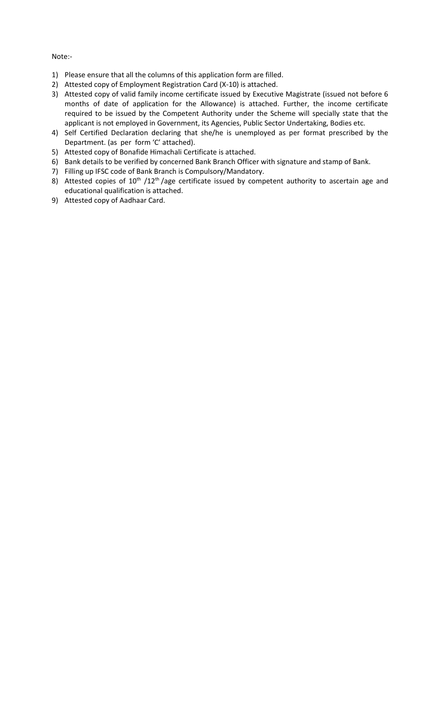Note:-

- 1) Please ensure that all the columns of this application form are filled.
- 2) Attested copy of Employment Registration Card (X-10) is attached.
- 3) Attested copy of valid family income certificate issued by Executive Magistrate (issued not before 6 months of date of application for the Allowance) is attached. Further, the income certificate required to be issued by the Competent Authority under the Scheme will specially state that the applicant is not employed in Government, its Agencies, Public Sector Undertaking, Bodies etc.
- 4) Self Certified Declaration declaring that she/he is unemployed as per format prescribed by the Department. (as per form 'C' attached).
- 5) Attested copy of Bonafide Himachali Certificate is attached.
- 6) Bank details to be verified by concerned Bank Branch Officer with signature and stamp of Bank.
- 7) Filling up IFSC code of Bank Branch is Compulsory/Mandatory.
- 8) Attested copies of  $10^{th}$  /12<sup>th</sup> /age certificate issued by competent authority to ascertain age and educational qualification is attached.
- 9) Attested copy of Aadhaar Card.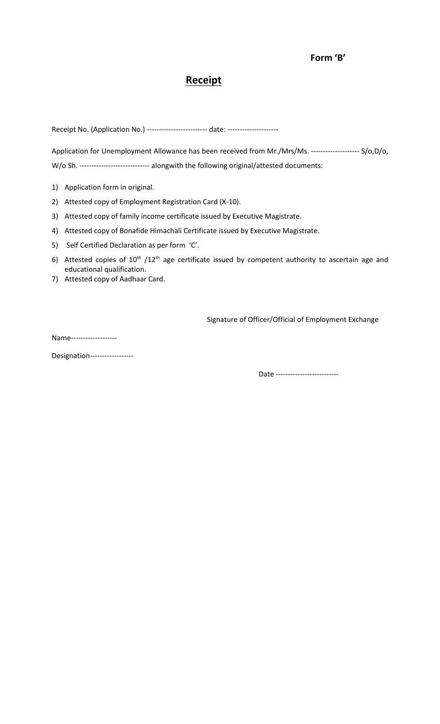# **Receipt**

Receipt No. (Application No.) -------------------------- date: ---------------------

Application for Unemployment Allowance has been received from Mr./Mrs/Ms. -------------------- S/o,D/o, W/o Sh. ---------------------------- alongwith the following original/attested documents:

- 1) Application form in original.
- 2) Attested copy of Employment Registration Card (X-10).
- 3) Attested copy of family income certificate issued by Executive Magistrate.
- 4) Attested copy of Bonafide Himachali Certificate issued by Executive Magistrate.
- 5) Self Certified Declaration as per form 'C'.
- 6) Attested copies of 10<sup>th</sup> /12<sup>th</sup> age certificate issued by competent authority to ascertain age and educational qualification.
- 7) Attested copy of Aadhaar Card.

Signature of Officer/Official of Employment Exchange

Name-------------------

Designation------------------

Date --------------------------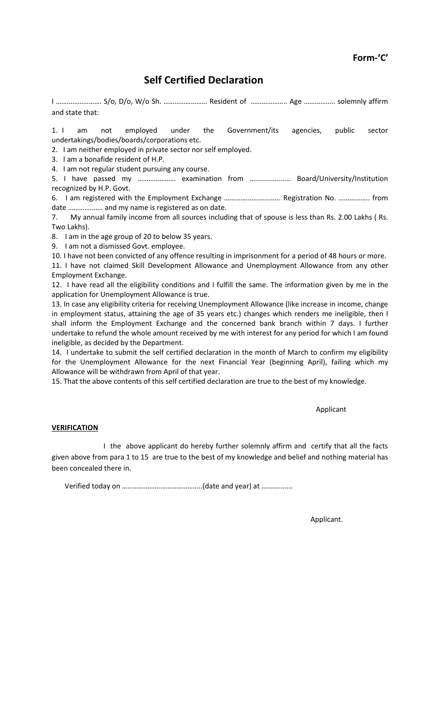# **Self Certified Declaration**

I ……………………. S/o, D/o, W/o Sh. …………………… Resident of ……………….. Age …………….. solemnly affirm and state that:

1. I am not employed under the Government/its agencies, public sector undertakings/bodies/boards/corporations etc.

2. I am neither employed in private sector nor self employed.

3. I am a bonafide resident of H.P.

4. I am not regular student pursuing any course.

5. I have passed my ………………… examination from ….................. Board/University/Institution recognized by H.P. Govt.

6. I am registered with the Employment Exchange ………………............ Registration No. …………….. from date ………………. and my name is registered as on date.

7. My annual family income from all sources including that of spouse is less than Rs. 2.00 Lakhs ( Rs. Two Lakhs).

8. I am in the age group of 20 to below 35 years.

9. I am not a dismissed Govt. employee.

10. I have not been convicted of any offence resulting in imprisonment for a period of 48 hours or more.

11. I have not claimed Skill Development Allowance and Unemployment Allowance from any other Employment Exchange.

12. I have read all the eligibility conditions and I fulfill the same. The information given by me in the application for Unemployment Allowance is true.

13. In case any eligibility criteria for receiving Unemployment Allowance (like increase in income, change in employment status, attaining the age of 35 years etc.) changes which renders me ineligible, then I shall inform the Employment Exchange and the concerned bank branch within 7 days. I further undertake to refund the whole amount received by me with interest for any period for which I am found ineligible, as decided by the Department.

14. I undertake to submit the self certified declaration in the month of March to confirm my eligibility for the Unemployment Allowance for the next Financial Year (beginning April), failing which my Allowance will be withdrawn from April of that year.

15. That the above contents of this self certified declaration are true to the best of my knowledge.

Applicant

#### **VERIFICATION**

I the above applicant do hereby further solemnly affirm and certify that all the facts given above from para 1 to 15 are true to the best of my knowledge and belief and nothing material has been concealed there in.

Verified today on ……………………………………..(date and year) at ….............

Applicant.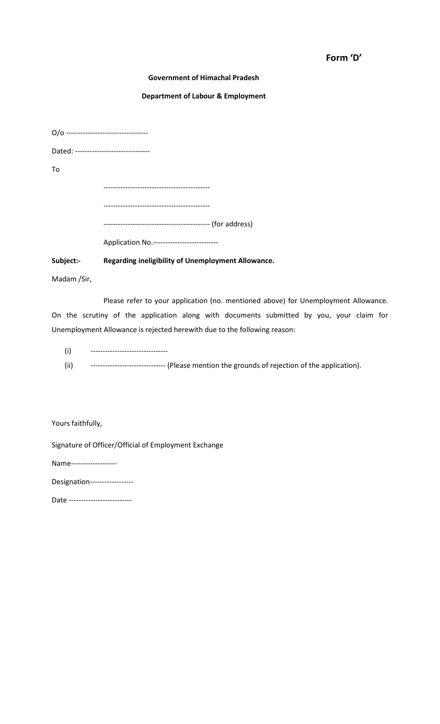#### **Form 'D'**

#### **Government of Himachal Pradesh**

#### **Department of Labour & Employment**

| Dated: -------------------------------- |                                           |
|-----------------------------------------|-------------------------------------------|
| Tο                                      |                                           |
|                                         |                                           |
|                                         |                                           |
|                                         |                                           |
|                                         | Application No.-------------------------- |

#### **Subject:- Regarding ineligibility of Unemployment Allowance.**

Madam /Sir,

Please refer to your application (no. mentioned above) for Unemployment Allowance. On the scrutiny of the application along with documents submitted by you, your claim for Unemployment Allowance is rejected herewith due to the following reason:

- (i) --------------------------------
- (ii) ------------------------------- (Please mention the grounds of rejection of the application).

Yours faithfully,

Signature of Officer/Official of Employment Exchange

Name-------------------

Date --------------------------